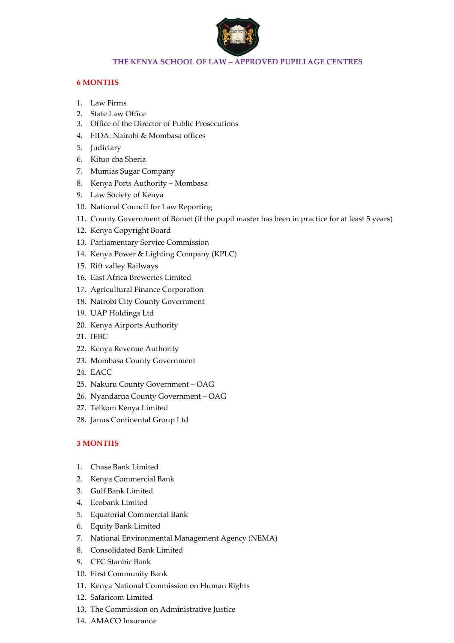

## **THE KENYA SCHOOL OF LAW – APPROVED PUPILLAGE CENTRES**

## **6 MONTHS**

- 1. Law Firms
- 2. State Law Office
- 3. Office of the Director of Public Prosecutions
- 4. FIDA: Nairobi & Mombasa offices
- 5. Judiciary
- 6. Kituo cha Sheria
- 7. Mumias Sugar Company
- 8. Kenya Ports Authority Mombasa
- 9. Law Society of Kenya
- 10. National Council for Law Reporting
- 11. County Government of Bomet (if the pupil master has been in practice for at least 5 years)
- 12. Kenya Copyright Board
- 13. Parliamentary Service Commission
- 14. Kenya Power & Lighting Company (KPLC)
- 15. Rift valley Railways
- 16. East Africa Breweries Limited
- 17. Agricultural Finance Corporation
- 18. Nairobi City County Government
- 19. UAP Holdings Ltd
- 20. Kenya Airports Authority
- 21. IEBC
- 22. Kenya Revenue Authority
- 23. Mombasa County Government
- 24. EACC
- 25. Nakuru County Government OAG
- 26. Nyandarua County Government OAG
- 27. Telkom Kenya Limited
- 28. Janus Continental Group Ltd

## **3 MONTHS**

- 1. Chase Bank Limited
- 2. Kenya Commercial Bank
- 3. Gulf Bank Limited
- 4. Ecobank Limited
- 5. Equatorial Commercial Bank
- 6. Equity Bank Limited
- 7. National Environmental Management Agency (NEMA)
- 8. Consolidated Bank Limited
- 9. CFC Stanbic Bank
- 10. First Community Bank
- 11. Kenya National Commission on Human Rights
- 12. Safaricom Limited
- 13. The Commission on Administrative Justice
- 14. AMACO Insurance